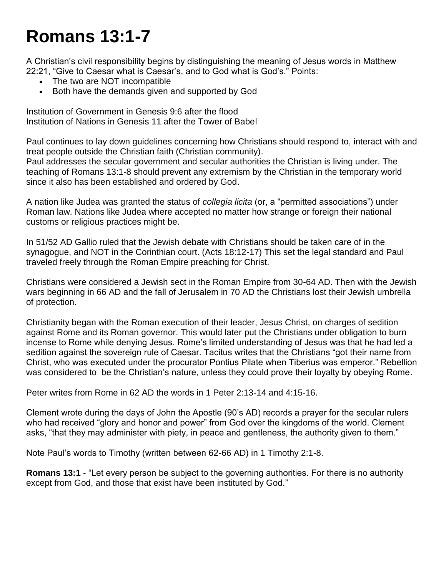## **Romans 13:1-7**

A Christian's civil responsibility begins by distinguishing the meaning of Jesus words in Matthew 22:21, "Give to Caesar what is Caesar's, and to God what is God's." Points:

- The two are NOT incompatible
- Both have the demands given and supported by God

Institution of Government in Genesis 9:6 after the flood Institution of Nations in Genesis 11 after the Tower of Babel

Paul continues to lay down guidelines concerning how Christians should respond to, interact with and treat people outside the Christian faith (Christian community).

Paul addresses the secular government and secular authorities the Christian is living under. The teaching of Romans 13:1-8 should prevent any extremism by the Christian in the temporary world since it also has been established and ordered by God.

A nation like Judea was granted the status of *collegia licita* (or, a "permitted associations") under Roman law. Nations like Judea where accepted no matter how strange or foreign their national customs or religious practices might be.

In 51/52 AD Gallio ruled that the Jewish debate with Christians should be taken care of in the synagogue, and NOT in the Corinthian court. (Acts 18:12-17) This set the legal standard and Paul traveled freely through the Roman Empire preaching for Christ.

Christians were considered a Jewish sect in the Roman Empire from 30-64 AD. Then with the Jewish wars beginning in 66 AD and the fall of Jerusalem in 70 AD the Christians lost their Jewish umbrella of protection.

Christianity began with the Roman execution of their leader, Jesus Christ, on charges of sedition against Rome and its Roman governor. This would later put the Christians under obligation to burn incense to Rome while denying Jesus. Rome's limited understanding of Jesus was that he had led a sedition against the sovereign rule of Caesar. Tacitus writes that the Christians "got their name from Christ, who was executed under the procurator Pontius Pilate when Tiberius was emperor." Rebellion was considered to be the Christian's nature, unless they could prove their loyalty by obeying Rome.

Peter writes from Rome in 62 AD the words in 1 Peter 2:13-14 and 4:15-16.

Clement wrote during the days of John the Apostle (90's AD) records a prayer for the secular rulers who had received "glory and honor and power" from God over the kingdoms of the world. Clement asks, "that they may administer with piety, in peace and gentleness, the authority given to them."

Note Paul's words to Timothy (written between 62-66 AD) in 1 Timothy 2:1-8.

**Romans 13:1** - "Let every person be subject to the governing authorities. For there is no authority except from God, and those that exist have been instituted by God."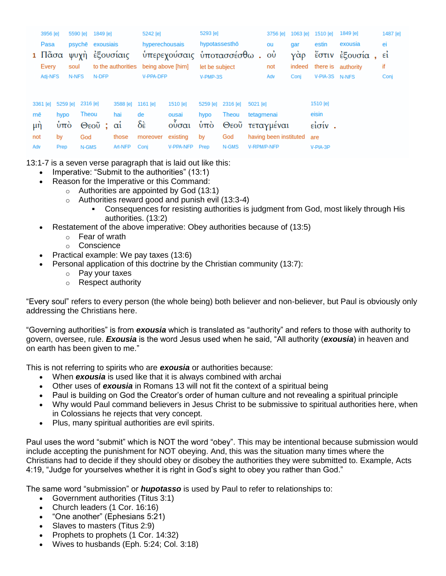|         | 3956 [e]  |                  | 5590 [e] | 1849 [e]         |           | 5242 [e]                             |                              | 5293 [e]       |                        |             | 3756 [e] | 1063 [e]       | 1510 [e]           | 1849 [e]          | 1487 [e] |
|---------|-----------|------------------|----------|------------------|-----------|--------------------------------------|------------------------------|----------------|------------------------|-------------|----------|----------------|--------------------|-------------------|----------|
|         | Pasa      |                  |          | psyche exousiais |           | hyperechousais                       |                              | hypotassesthō  |                        |             | ou       | gar            | estin              | exousia           | ei       |
|         | 1 Πᾶσα    |                  |          | ψυχὴ ἐξουσίαις   |           |                                      | ύπερεχούσαις υποτασσέσθω. ου |                |                        |             |          | γὰρ            |                    | έστιν έξουσία, εί |          |
| Every   |           | soul             |          |                  |           | to the authorities being above [him] |                              | let be subject |                        |             | indeed   |                | there is authority | if                |          |
| Adj-NFS |           | N-NFS<br>N-DFP   |          |                  | V-PPA-DFP |                                      | V-PMP-3S                     |                |                        | Adv         | Conj     | V-PIA-3S N-NFS |                    | Conj              |          |
|         |           |                  |          |                  |           |                                      |                              |                |                        |             |          |                |                    |                   |          |
|         | 3361 [e]  | 5259 [e]         |          | 2316 [e]         | 3588 [e]  | 1161 [e]                             | 1510 [e]                     |                | 5259 [e] 2316 [e]      | 5021 [e]    |          |                | 1510 [e]           |                   |          |
| mē      |           | hypo             |          | Theou            | hai       | de                                   | ousai                        | hypo           | Theou                  | tetagmenai  |          |                | eisin              |                   |          |
| μή      |           | $\dot{\rm u}$ πο |          | Θεοῦ ; αί        |           | δὲ                                   | <b>ούσαι</b>                 | ύπο            | Θεοῦ τεταγμέναι        |             |          |                | είσίν.             |                   |          |
| not     | by<br>God |                  | those    |                  | moreover  | existing                             |                              | God            | having been instituted |             |          | are            |                    |                   |          |
| Adv     |           | Prep             |          | N-GMS            | Art-NFP   | Conj                                 | V-PPA-NFP                    | Prep           | N-GMS                  | V-RPM/P-NFP |          |                | V-PIA-3P           |                   |          |

13:1-7 is a seven verse paragraph that is laid out like this:

- Imperative: "Submit to the authorities" (13:1)
- Reason for the Imperative or this Command:
	- $\circ$  Authorities are appointed by God (13:1)
	- o Authorities reward good and punish evil (13:3-4)
		- Consequences for resisting authorities is judgment from God, most likely through His authorities. (13:2)
- Restatement of the above imperative: Obey authorities because of (13:5)
	- o Fear of wrath
	- o Conscience
- Practical example: We pay taxes (13:6)
- Personal application of this doctrine by the Christian community (13:7):
	- o Pay your taxes
	- o Respect authority

"Every soul" refers to every person (the whole being) both believer and non-believer, but Paul is obviously only addressing the Christians here.

"Governing authorities" is from *exousia* which is translated as "authority" and refers to those with authority to govern, oversee, rule. *Exousia* is the word Jesus used when he said, "All authority (*exousia*) in heaven and on earth has been given to me."

This is not referring to spirits who are *exousia* or authorities because:

- When *exousia* is used like that it is always combined with archai
- Other uses of *exousia* in Romans 13 will not fit the context of a spiritual being
- Paul is building on God the Creator's order of human culture and not revealing a spiritual principle
- Why would Paul command believers in Jesus Christ to be submissive to spiritual authorities here, when in Colossians he rejects that very concept.
- Plus, many spiritual authorities are evil spirits.

Paul uses the word "submit" which is NOT the word "obey". This may be intentional because submission would include accepting the punishment for NOT obeying. And, this was the situation many times where the Christians had to decide if they should obey or disobey the authorities they were submitted to. Example, Acts 4:19, "Judge for yourselves whether it is right in God's sight to obey you rather than God."

The same word "submission" or *hupotasso* is used by Paul to refer to relationships to:

- Government authorities (Titus 3:1)
- Church leaders (1 Cor. 16:16)
- "One another" (Ephesians 5:21)
- Slaves to masters (Titus 2:9)
- Prophets to prophets (1 Cor. 14:32)
- Wives to husbands (Eph. 5:24; Col. 3:18)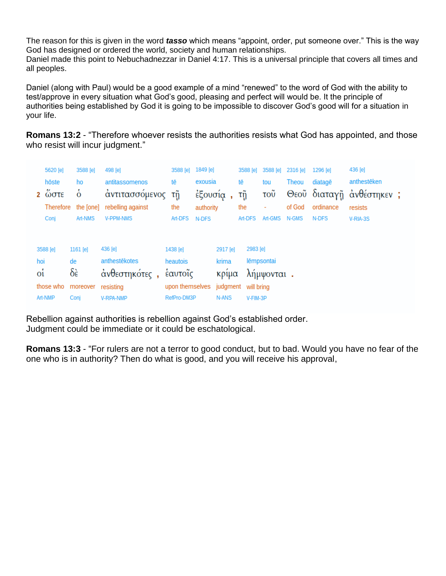The reason for this is given in the word *tasso* which means "appoint, order, put someone over." This is the way God has designed or ordered the world, society and human relationships. Daniel made this point to Nebuchadnezzar in Daniel 4:17. This is a universal principle that covers all times and all peoples.

Daniel (along with Paul) would be a good example of a mind "renewed" to the word of God with the ability to test/approve in every situation what God's good, pleasing and perfect will would be. It the principle of authorities being established by God it is going to be impossible to discover God's good will for a situation in your life.

**Romans 13:2** - "Therefore whoever resists the authorities resists what God has appointed, and those who resist will incur judgment."

|                | 5620 [e]                        | 3588 [e]       | 498 [e]           | 3588 [e]        | 1849 [e]  |          | 3588 [e] | 3588 [e]   | 2316 [e] | 1296 [e]  | 436 [e]                  |  |
|----------------|---------------------------------|----------------|-------------------|-----------------|-----------|----------|----------|------------|----------|-----------|--------------------------|--|
|                | hōste                           | ho             | antitassomenos    | tē              | exousia   |          | tē       | tou        | Theou    | diatage   | anthestēken              |  |
|                | $2 \omega \sigma \tau \epsilon$ | $\dot{\delta}$ | άντιτασσόμενος    | τÿ              |           | έξουσία, | τñ       | τοῦ        |          |           | Θεοῦ διαταγῆ ἀνθέστηκεν; |  |
|                | Therefore                       | the [one]      | rebelling against | the             | authority |          | the      | ٠          | of God   | ordinance | resists                  |  |
|                | Conj                            | Art-NMS        | <b>V-PPM-NMS</b>  | Art-DFS         | N-DFS     |          | Art-DFS  | Art-GMS    | N-GMS    | N-DFS     | V-RIA-3S                 |  |
|                |                                 |                |                   |                 |           |          |          |            |          |           |                          |  |
|                | 3588 [e]                        | 1161 [e]       | 436 [e]           | 1438 [e]        |           | 2917 [e] |          | 2983 [e]   |          |           |                          |  |
| hoi            |                                 | de             | anthestēkotes     | heautois        |           | krima    |          | lēmpsontai |          |           |                          |  |
| o <sub>i</sub> |                                 | δὲ             | άνθεστηκότες,     | έαυτοΐς         |           | κρίμα    |          | λήμψονται. |          |           |                          |  |
|                | those who                       | moreover       | resisting         | upon themselves |           | judgment |          | will bring |          |           |                          |  |
|                | Art-NMP                         | Conj           | <b>V-RPA-NMP</b>  | RefPro-DM3P     |           | N-ANS    |          | V-FIM-3P   |          |           |                          |  |

Rebellion against authorities is rebellion against God's established order. Judgment could be immediate or it could be eschatological.

**Romans 13:3** - "For rulers are not a terror to good conduct, but to bad. Would you have no fear of the one who is in authority? Then do what is good, and you will receive his approval,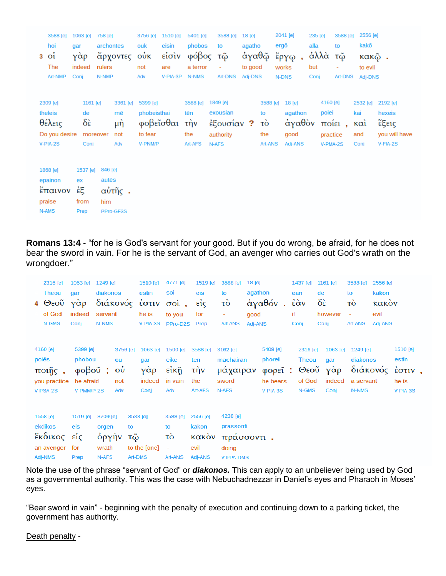|               | 3588 [e]                | 1063 [e] | 758 [e]   |              | 3756 [e]  | 1510 [e]        | 5401 [e] | 3588 [e]   | $18$ [e] |          | 2041 [e]   |      | 235 [e]  | 3588 [e] | 2556 [e]     |               |
|---------------|-------------------------|----------|-----------|--------------|-----------|-----------------|----------|------------|----------|----------|------------|------|----------|----------|--------------|---------------|
|               | hoi                     | gar      | archontes |              | ouk       | eisin           | phobos   | tō         | agathō   |          | ergō       | alla |          | tō       | kakō         |               |
|               | $3$ $0i$                | γὰρ      |           | άρχοντες ούκ |           | είσιν           | φόβος    | τῷ         |          |          | άγαθῷ ἔργῳ |      | άλλὰ     | τῷ       | <b>κακῷ.</b> |               |
|               | The                     | indeed   | rulers    |              | not       | are             | a terror |            | to good  |          | works      | but  |          | ۰        | to evil      |               |
|               | Art-NMP                 | Coni     | N-NMP     |              | Adv       | V-PIA-3P        | N-NMS    | Art-DNS    | Adj-DNS  |          | N-DNS      | Conj |          | Art-DNS  | Adj-DNS      |               |
|               |                         |          |           |              |           |                 |          |            |          |          |            |      |          |          |              |               |
|               | 2309 [e]                | 1161 [e] |           | 3361 [e]     | 5399 [e]  |                 | 3588 [e] | 1849 [e]   |          | 3588 [e] | 18 [e]     |      | 4160 [e] |          | 2532 [e]     | 2192 [e]      |
| theleis<br>de |                         |          | mē        | phobeisthai  |           | exousian<br>tēn |          | to         |          |          | agathon    |      | poiei    | kai      | hexeis       |               |
| θέλεις        |                         | δὲ       |           | μή           | φοβεΐσθαι |                 | τὴν      | έξουσίαν ? |          | τò       | άγαθὸν     |      |          | ποίει,   | $k\alpha$    | έξεις         |
|               | Do you desire           |          | moreover  | not          | to fear   |                 | the      | authority  |          | the      | good       |      | practice |          | and          | you will have |
|               | $V-PIA-2S$              | Conj     |           | Adv          | V-PNM/P   |                 | Art-AFS  | N-AFS      |          | Art-ANS  | Adj-ANS    |      | V-PMA-2S |          | Conj         | V-FIA-2S      |
|               |                         |          |           |              |           |                 |          |            |          |          |            |      |          |          |              |               |
|               | 1868 [e]                | 1537 [e] | 846 [e]   |              |           |                 |          |            |          |          |            |      |          |          |              |               |
|               | epainon<br>autēs<br>ex  |          |           |              |           |                 |          |            |          |          |            |      |          |          |              |               |
|               | αὐτῆς.<br>ἐξ<br>έπαινον |          |           |              |           |                 |          |            |          |          |            |      |          |          |              |               |
|               | from<br>praise<br>him   |          |           |              |           |                 |          |            |          |          |            |      |          |          |              |               |
|               | N-AMS<br>PPro-GF3S      |          |           |              |           |                 |          |            |          |          |            |      |          |          |              |               |
|               |                         | Prep     |           |              |           |                 |          |            |          |          |            |      |          |          |              |               |

**Romans 13:4** - "for he is God's servant for your good. But if you do wrong, be afraid, for he does not bear the sword in vain. For he is the servant of God, an avenger who carries out God's wrath on the wrongdoer."

| 2316 [e]<br><b>Theou</b><br>$4 \Theta$ εοῦ<br>of God<br>N-GMS | 1063 [e] 1249 [e]<br>gar<br>γάρ<br>indeed<br>Conj              | diakonos<br>servant<br>N-NMS                   | διάκονός                                       | 1510 [e]<br>estin<br>έστιν<br>he is<br>V-PIA-3S | 4771 [e]<br>soi<br>$\sigma$ <sup>o</sup> $\alpha$ ,<br>to you<br>PPro-D2S | 1519 [e]<br>eis<br>$\vec{e}$ ίς<br>for<br>Prep        | 3588 [e]<br>to<br>τò<br>Art-ANS                           | 18 [e]<br>agathon<br>good<br>Adj-ANS | ἀγαθόν                                               | 1437 [e]<br>ean<br>έὰν<br>if<br>Conj                | 1161 [e]<br>de<br>$\delta \hat{\epsilon}$<br>however<br>Conj | 3588 [e]<br>to<br>τò<br>Art-ANS            | 2556 [e]<br>kakon<br>κακὸν<br>evil<br>Adj-ANS |                                                           |  |
|---------------------------------------------------------------|----------------------------------------------------------------|------------------------------------------------|------------------------------------------------|-------------------------------------------------|---------------------------------------------------------------------------|-------------------------------------------------------|-----------------------------------------------------------|--------------------------------------|------------------------------------------------------|-----------------------------------------------------|--------------------------------------------------------------|--------------------------------------------|-----------------------------------------------|-----------------------------------------------------------|--|
| 4160 [e]<br>poiēs<br>$π$ οιῆς,<br>you practice<br>V-PSA-2S    | 5399 [e]<br>phobou<br>$\phi$ οβοῦ ;<br>be afraid<br>V-PMM/P-2S |                                                | 3756 [e]<br>ou<br>$\vec{\omega}$<br>not<br>Adv | 1063 [e]<br>gar<br>γὰρ<br>indeed<br>Conj        | 1500 [e]<br>eikē<br>$\epsilon$ ίκῆ<br>in vain<br>Adv                      | 3588 [e]<br>tēn<br>τὴν<br>the<br>Art-AFS              | 3162 [e]<br>machairan<br>μάχαιραν<br>sword<br>N-AFS       |                                      | 5409 [e]<br>phorei<br>φορεῖ:<br>he bears<br>V-PIA-3S | 2316 [e]<br><b>Theou</b><br>Θεοῦ<br>of God<br>N-GMS | 1063 [e]<br>gar<br>γὰρ<br>indeed<br>Conj                     | 1249 [e]<br>diakonos<br>a servant<br>N-NMS |                                               | 1510 [e]<br>estin<br>διάκονός έστιν,<br>he is<br>V-PIA-3S |  |
| 1558 [e]<br>ekdikos<br>έκδικος είς<br>an avenger<br>2 MIA-ihA | 1519 [e]<br>eis<br>for<br><b>Dren</b>                          | 3709 [e]<br>orgēn<br>όργὴν<br>wrath<br>$N-AFS$ | tō<br>τῷ                                       | 3588 [e]<br>to the [one]<br>Art-DMS             | 3588 [e]<br>to<br>τò<br>$\overline{\phantom{a}}$<br>Art-ANIS              | 2556 [e]<br>kakon<br>κακὸν<br>evil<br><b>PIAA-ihA</b> | 4238 [e]<br>prassonti<br>πράσσοντι.<br>doing<br>V-DDA-DMS |                                      |                                                      |                                                     |                                                              |                                            |                                               |                                                           |  |

Note the use of the phrase "servant of God" or *diakonos.* This can apply to an unbeliever being used by God as a governmental authority. This was the case with Nebuchadnezzar in Daniel's eyes and Pharaoh in Moses' eyes.

"Bear sword in vain" - beginning with the penalty of execution and continuing down to a parking ticket, the government has authority.

Death penalty -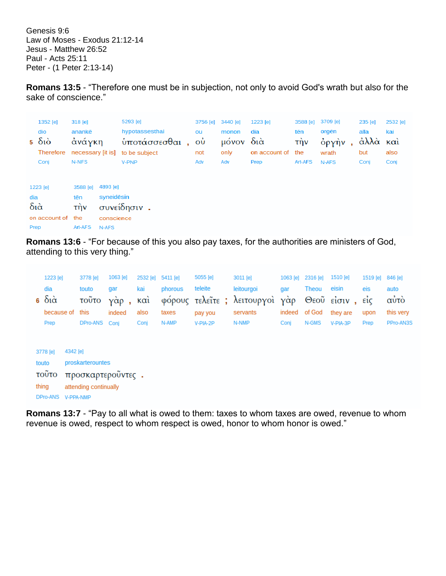Genesis 9:6 Law of Moses - Exodus 21:12-14 Jesus - Matthew 26:52 Paul - Acts 25:11 Peter - (1 Peter 2:13-14)

**Romans 13:5** - "Therefore one must be in subjection, not only to avoid God's wrath but also for the sake of conscience."

|                            | 1352 [e]<br>dio<br>$5\delta\omega$<br>Therefore<br>Conj | 318 [e]<br>anankē<br>άνάγκη<br>N-NFS     |                                               | 5293 [e]<br>hypotassesthai<br>υποτάσσεσθαι,<br>necessary [it is] to be subject<br>V-PNP | ou<br>$\dot{\rm o}$<br>not<br>Adv | 3756 [e] 3440 [e]<br>monon<br>μόνον διὰ<br>only<br>Adv | 1223 [e]<br>dia<br>on account of the<br>Prep | 3588 [e]<br>tēn<br>τὴν<br>Art-AFS | 3709 [e]<br>orgēn<br>όργὴν<br>wrath<br>N-AFS | 235 [e]<br>alla<br>άλλὰ καὶ<br>but<br>Conj | 2532 [e]<br>kai<br>also<br>Conj |
|----------------------------|---------------------------------------------------------|------------------------------------------|-----------------------------------------------|-----------------------------------------------------------------------------------------|-----------------------------------|--------------------------------------------------------|----------------------------------------------|-----------------------------------|----------------------------------------------|--------------------------------------------|---------------------------------|
| dia<br>$\delta$ ιά<br>Prep | 1223 [e]<br>on account of                               | 3588 [e]<br>tēn<br>τὴν<br>the<br>Art-AFS | 4893 [e]<br>syneidesin<br>conscience<br>N-AFS | συνείδησιν.                                                                             |                                   |                                                        |                                              |                                   |                                              |                                            |                                 |

**Romans 13:6** - "For because of this you also pay taxes, for the authorities are ministers of God, attending to this very thing."

|                                                        | 1223 [e]                |          | 3778 [e]                                                                    | 1063 [e]      | 2532 [e] | 5411 [e] | 5055 [e] | 3011 [e]                       | 1063 [e] | 2316 [e] | 1510 [e]        | 1519 [e] | 846 [e]        |  |
|--------------------------------------------------------|-------------------------|----------|-----------------------------------------------------------------------------|---------------|----------|----------|----------|--------------------------------|----------|----------|-----------------|----------|----------------|--|
|                                                        | dia                     |          | touto                                                                       | gar           | kai      | phorous  | teleite  | leitourgoi                     | gar      | Theou    | eisin           | eis      | auto           |  |
|                                                        | $6\delta i\dot{\alpha}$ |          | τοῦτο                                                                       | $Y\alpha p$ , | καὶ      |          |          | φόρους τελεΐτε; λειτουργοί γάρ |          |          | Θεοῦ είσιν, είς |          | $\sim$<br>αυτο |  |
|                                                        | because of              |          | this                                                                        | indeed        | also     | taxes    | pay you  | servants                       | indeed   | of God   | they are        | upon     | this very      |  |
|                                                        | Prep                    |          | DPro-ANS                                                                    | Coni          | Conj     | N-AMP    | V-PIA-2P | N-NMP                          | Conj     | N-GMS    | V-PIA-3P        | Prep     | PPro-AN3S      |  |
| 3778 [e]<br>touto<br><b>TOUTO</b><br>thing<br>DPro-ANS |                         | 4342 [e] | proskarterountes<br>προσκαρτεροϋντες.<br>attending continually<br>V-PPA-NMP |               |          |          |          |                                |          |          |                 |          |                |  |

**Romans 13:7** - "Pay to all what is owed to them: taxes to whom taxes are owed, revenue to whom revenue is owed, respect to whom respect is owed, honor to whom honor is owed."